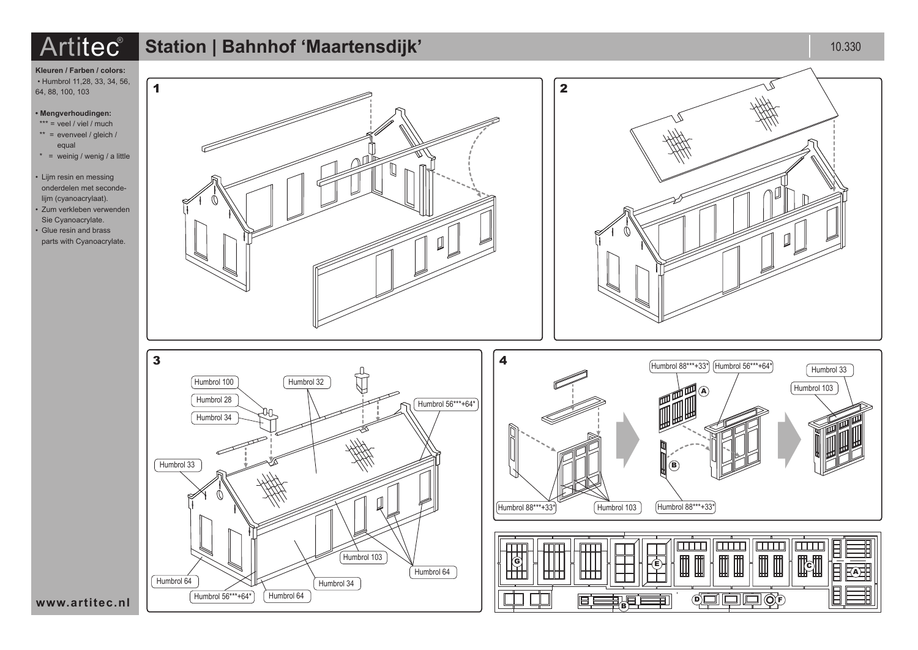# $\text{Artilec}^\text{\text{\textregistered}}$  Station | Bahnhof **'Maartensdijk'** and a station of the station of the station of the station of the station of the station of the station of the station of the station of the station of the station of th



**Kleuren / Farben / colors:** • Humbrol 11,28, 33, 34, 56, 64, 88, 100, 103

## **• Mengverhoudingen:**

- $***$  = veel / viel / much
- $**$  = evenveel / gleich / equal
- $* =$  weinig / wenig / a little

```
• Lijm resin en messing 
onderdelen met seconde-
lijm (cyanoacrylaat).
• Zum verkleben verwenden 
Sie Cyanoacrylate.
• Glue resin and brass
```












**www.artitec.nl**